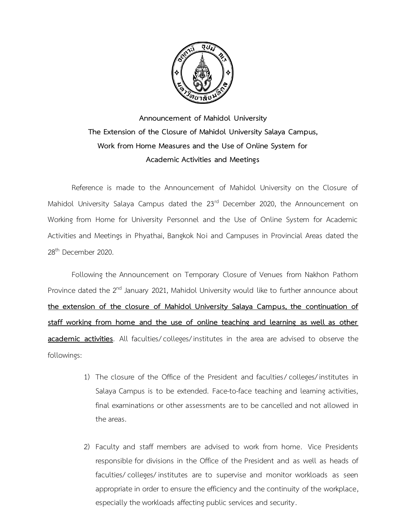

**Announcement of Mahidol University The Extension of the Closure of Mahidol University Salaya Campus, Work from Home Measures and the Use of Online System for Academic Activities and Meetings** 

Reference is made to the Announcement of Mahidol University on the Closure of Mahidol University Salaya Campus dated the 23<sup>rd</sup> December 2020, the Announcement on Working from Home for University Personnel and the Use of Online System for Academic Activities and Meetings in Phyathai, Bangkok Noi and Campuses in Provincial Areas dated the 28th December 2020.

Following the Announcement on Temporary Closure of Venues from Nakhon Pathom Province dated the 2<sup>nd</sup> January 2021, Mahidol University would like to further announce about **the extension of the closure of Mahidol University Salaya Campus, the continuation of staff working from home and the use of online teaching and learning as well as other academic activities**. All faculties/colleges/institutes in the area are advised to observe the followings:

- 1) The closure of the Office of the President and faculties/ colleges/institutes in Salaya Campus is to be extended. Face-to-face teaching and learning activities, final examinations or other assessments are to be cancelled and not allowed in the areas.
- 2) Faculty and staff members are advised to work from home. Vice Presidents responsible for divisions in the Office of the President and as well as heads of faculties/ colleges/ institutes are to supervise and monitor workloads as seen appropriate in order to ensure the efficiency and the continuity of the workplace, especially the workloads affecting public services and security.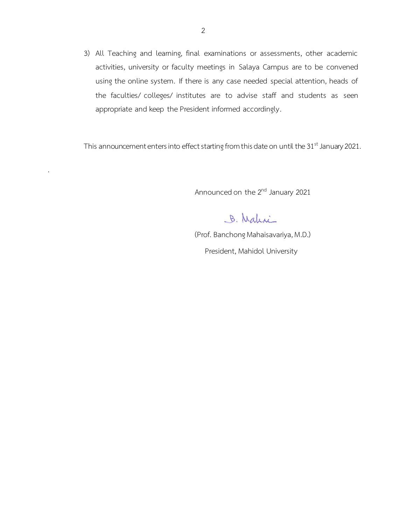3) All Teaching and learning, final examinations or assessments, other academic activities, university or faculty meetings in Salaya Campus are to be convened using the online system. If there is any case needed special attention, heads of the faculties/ colleges/ institutes are to advise staff and students as seen appropriate and keep the President informed accordingly.

This announcement enters into effect starting from this date on until the 31<sup>st</sup> January 2021.

.

Announced on the 2<sup>nd</sup> January 2021

B. Malini

 (Prof. Banchong Mahaisavariya, M.D.) President, Mahidol University